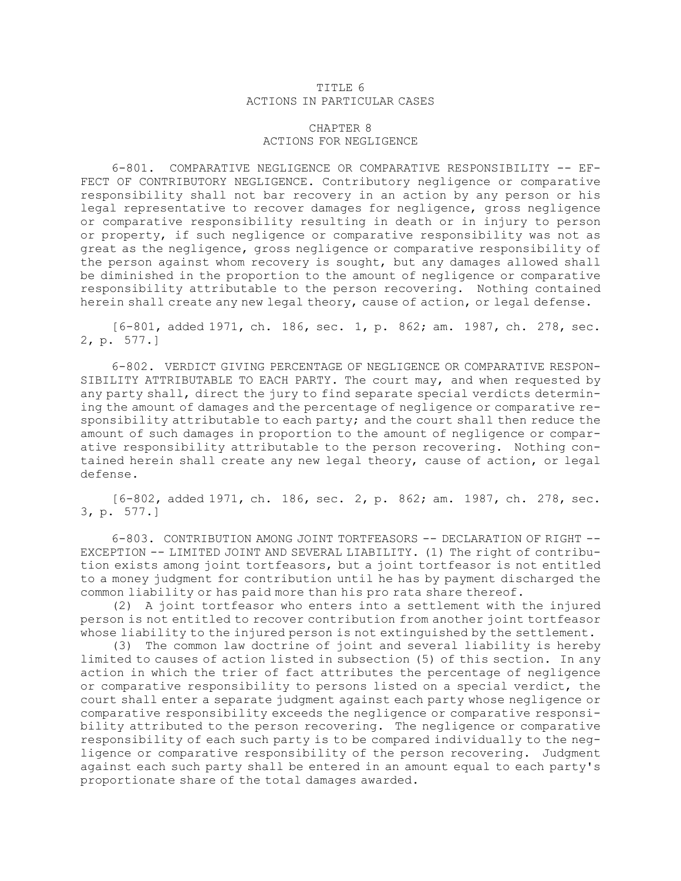## TITLE 6 ACTIONS IN PARTICULAR CASES

## CHAPTER 8 ACTIONS FOR NEGLIGENCE

6-801. COMPARATIVE NEGLIGENCE OR COMPARATIVE RESPONSIBILITY -- EF-FECT OF CONTRIBUTORY NEGLIGENCE. Contributory negligence or comparative responsibility shall not bar recovery in an action by any person or his legal representative to recover damages for negligence, gross negligence or comparative responsibility resulting in death or in injury to person or property, if such negligence or comparative responsibility was not as great as the negligence, gross negligence or comparative responsibility of the person against whom recovery is sought, but any damages allowed shall be diminished in the proportion to the amount of negligence or comparative responsibility attributable to the person recovering. Nothing contained herein shall create any new legal theory, cause of action, or legal defense.

[6-801, added 1971, ch. 186, sec. 1, p. 862; am. 1987, ch. 278, sec. 2, p. 577.]

6-802. VERDICT GIVING PERCENTAGE OF NEGLIGENCE OR COMPARATIVE RESPON-SIBILITY ATTRIBUTABLE TO EACH PARTY. The court may, and when requested by any party shall, direct the jury to find separate special verdicts determining the amount of damages and the percentage of negligence or comparative responsibility attributable to each party; and the court shall then reduce the amount of such damages in proportion to the amount of negligence or comparative responsibility attributable to the person recovering. Nothing contained herein shall create any new legal theory, cause of action, or legal defense.

[6-802, added 1971, ch. 186, sec. 2, p. 862; am. 1987, ch. 278, sec. 3, p. 577.]

6-803. CONTRIBUTION AMONG JOINT TORTFEASORS -- DECLARATION OF RIGHT -- EXCEPTION -- LIMITED JOINT AND SEVERAL LIABILITY. (1) The right of contribution exists among joint tortfeasors, but <sup>a</sup> joint tortfeasor is not entitled to <sup>a</sup> money judgment for contribution until he has by payment discharged the common liability or has paid more than his pro rata share thereof.

(2) <sup>A</sup> joint tortfeasor who enters into <sup>a</sup> settlement with the injured person is not entitled to recover contribution from another joint tortfeasor whose liability to the injured person is not extinguished by the settlement.

(3) The common law doctrine of joint and several liability is hereby limited to causes of action listed in subsection (5) of this section. In any action in which the trier of fact attributes the percentage of negligence or comparative responsibility to persons listed on <sup>a</sup> special verdict, the court shall enter <sup>a</sup> separate judgment against each party whose negligence or comparative responsibility exceeds the negligence or comparative responsibility attributed to the person recovering. The negligence or comparative responsibility of each such party is to be compared individually to the negligence or comparative responsibility of the person recovering. Judgment against each such party shall be entered in an amount equal to each party's proportionate share of the total damages awarded.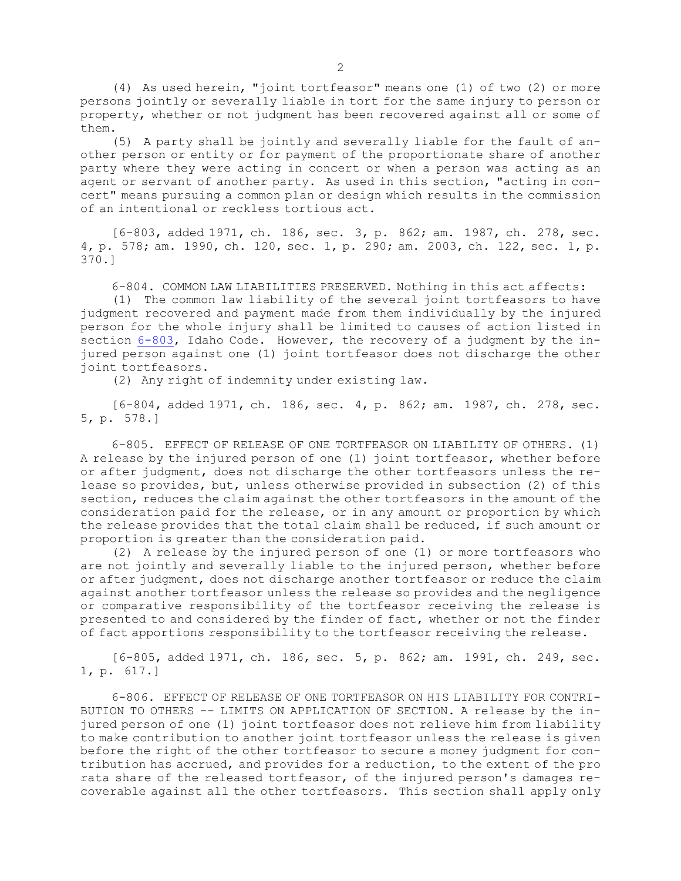(4) As used herein, "joint tortfeasor" means one (1) of two (2) or more persons jointly or severally liable in tort for the same injury to person or property, whether or not judgment has been recovered against all or some of them.

(5) <sup>A</sup> party shall be jointly and severally liable for the fault of another person or entity or for payment of the proportionate share of another party where they were acting in concert or when <sup>a</sup> person was acting as an agent or servant of another party. As used in this section, "acting in concert" means pursuing <sup>a</sup> common plan or design which results in the commission of an intentional or reckless tortious act.

[6-803, added 1971, ch. 186, sec. 3, p. 862; am. 1987, ch. 278, sec. 4, p. 578; am. 1990, ch. 120, sec. 1, p. 290; am. 2003, ch. 122, sec. 1, p. 370.]

6-804. COMMON LAW LIABILITIES PRESERVED. Nothing in this act affects:

(1) The common law liability of the several joint tortfeasors to have judgment recovered and payment made from them individually by the injured person for the whole injury shall be limited to causes of action listed in section [6-803](https://legislature.idaho.gov/statutesrules/idstat/Title6/T6CH8/SECT6-803), Idaho Code. However, the recovery of <sup>a</sup> judgment by the injured person against one (1) joint tortfeasor does not discharge the other joint tortfeasors.

(2) Any right of indemnity under existing law.

[6-804, added 1971, ch. 186, sec. 4, p. 862; am. 1987, ch. 278, sec. 5, p. 578.]

6-805. EFFECT OF RELEASE OF ONE TORTFEASOR ON LIABILITY OF OTHERS. (1) <sup>A</sup> release by the injured person of one (1) joint tortfeasor, whether before or after judgment, does not discharge the other tortfeasors unless the release so provides, but, unless otherwise provided in subsection (2) of this section, reduces the claim against the other tortfeasors in the amount of the consideration paid for the release, or in any amount or proportion by which the release provides that the total claim shall be reduced, if such amount or proportion is greater than the consideration paid.

(2) <sup>A</sup> release by the injured person of one (1) or more tortfeasors who are not jointly and severally liable to the injured person, whether before or after judgment, does not discharge another tortfeasor or reduce the claim against another tortfeasor unless the release so provides and the negligence or comparative responsibility of the tortfeasor receiving the release is presented to and considered by the finder of fact, whether or not the finder of fact apportions responsibility to the tortfeasor receiving the release.

[6-805, added 1971, ch. 186, sec. 5, p. 862; am. 1991, ch. 249, sec. 1, p. 617.]

6-806. EFFECT OF RELEASE OF ONE TORTFEASOR ON HIS LIABILITY FOR CONTRI-BUTION TO OTHERS -- LIMITS ON APPLICATION OF SECTION. <sup>A</sup> release by the injured person of one (1) joint tortfeasor does not relieve him from liability to make contribution to another joint tortfeasor unless the release is given before the right of the other tortfeasor to secure <sup>a</sup> money judgment for contribution has accrued, and provides for <sup>a</sup> reduction, to the extent of the pro rata share of the released tortfeasor, of the injured person's damages recoverable against all the other tortfeasors. This section shall apply only